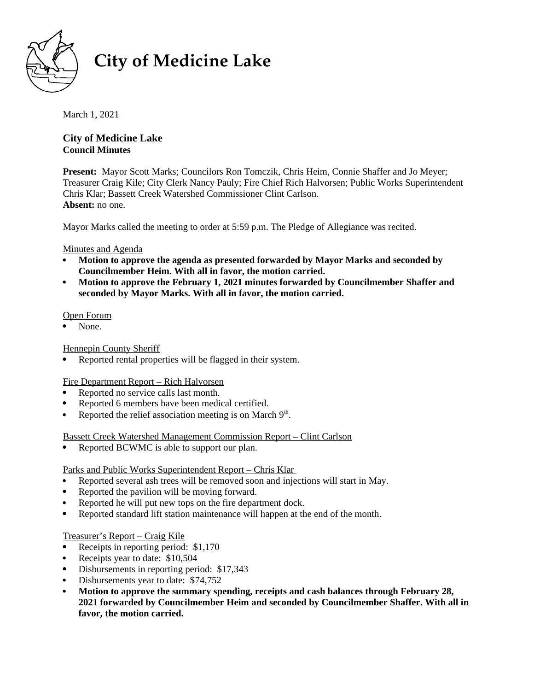

# **City of Medicine Lake**

March 1, 2021

# **City of Medicine Lake Council Minutes**

**Present:** Mayor Scott Marks; Councilors Ron Tomczik, Chris Heim, Connie Shaffer and Jo Meyer; Treasurer Craig Kile; City Clerk Nancy Pauly; Fire Chief Rich Halvorsen; Public Works Superintendent 11 Cabaret Grang 1 and, Gray Green Francy 1 aary, The Giner Freen Francoiser, I assiet Works Supermichaeth.<br>Chris Klar; Bassett Creek Watershed Commissioner Clint Carlson. **Absent:** no one.

Mayor Marks called the meeting to order at 5:59 p.m. The Pledge of Allegiance was recited.

# Minutes and Agenda

- **Motion to approve the agenda as presented forwarded by Mayor Marks and seconded by Councilmember Heim. With all in favor, the motion carried.**
- **Motion to approve the February 1, 2021 minutes forwarded by Councilmember Shaffer and seconded by Mayor Marks. With all in favor, the motion carried.**

### Open Forum

• None.

## Hennepin County Sheriff

Reported rental properties will be flagged in their system.

# Fire Department Report – Rich Halvorsen

- Reported no service calls last month.
- Reported 6 members have been medical certified.
- Reported the relief association meeting is on March  $9<sup>th</sup>$ .

Bassett Creek Watershed Management Commission Report – Clint Carlson

• Reported BCWMC is able to support our plan.

Parks and Public Works Superintendent Report – Chris Klar

- Reported several ash trees will be removed soon and injections will start in May.
- Reported the pavilion will be moving forward.
- Reported he will put new tops on the fire department dock.
- Reported standard lift station maintenance will happen at the end of the month.

# Treasurer's Report – Craig Kile

- Receipts in reporting period: \$1,170
- Receipts year to date: \$10,504
- Disbursements in reporting period: \$17,343
- Disbursements year to date: \$74,752
- **Motion to approve the summary spending, receipts and cash balances through February 28, 2021 forwarded by Councilmember Heim and seconded by Councilmember Shaffer. With all in favor, the motion carried.**